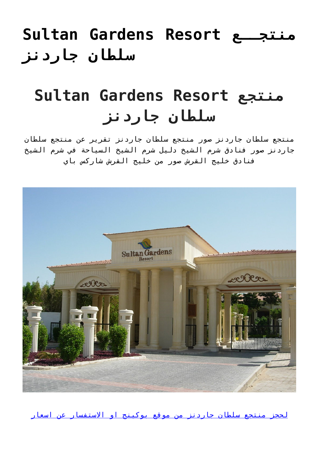## **[Sultan Gardens Resort منتجــع](https://tourismsharmalsheikh.com/sultan-gardens-resort/) [سلطان جاردنز](https://tourismsharmalsheikh.com/sultan-gardens-resort/)**

# **Sultan Gardens Resort منتجع سلطان جاردنز**

منتجع سلطان جاردنز صور منتجع سلطان جاردنز تقرير عن منتجع سلطان جاردنز صور فنادق شرم الشيخ دليل شرم الشيخ السياحة في شرم الشيخ فنادق خليج القرش صور من خليج القرش شاركس باي



[لحجز منتجع سلطان جاردنز من موقع بوكينج او الاستفسار عن اسعار](http://www.booking.com/hotel/eg/sultan-gardens-resort.ar.html?aid=353908)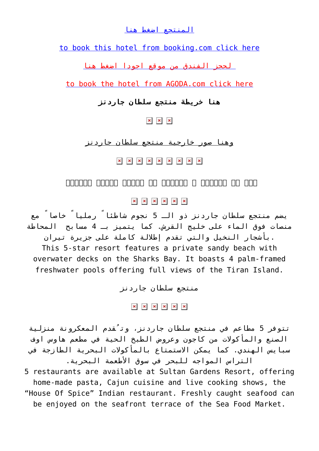## [المنتجع اضغط هنا](http://www.booking.com/hotel/eg/sultan-gardens-resort.ar.html?aid=353908)

[to book this hotel from booking.com click here](http://www.booking.com/hotel/eg/sultan-gardens-resort.en.html?aid=353908)

 [لحجز الفندق من موقع اجودا اضغط هنا](http://www.agoda.com/ar-ae/sultan-gardens-resort/hotel/sharm-el-sheikh-eg.html?cid=1650426)

[to book the hotel from AGODA.com click here](http://www.agoda.com/sultan-gardens-resort/hotel/sharm-el-sheikh-eg.html?cid=1650426)

## **هنا خريطة منتجع سلطان جاردنز**

 $\times$   $\,$   $\,\times$   $\,$   $\,\times$ 

وهنا صور خارجية منتجع سلطان جاردنز

x x x x x x x x

#### *صور من المدخل و اللوبي في منتجع سلطان جاردنز*

 $x \mid x \mid x \mid x \mid x$ 

يضم منتجع سلطان جاردنز ذو الـ 5 نجوم شاطئاً رملياً خاصاً مع منصات فوق الماء على خليج القرش. كما يتميز بـ 4 مسابح المحاطة .بأشجار النخيل والتي تقدم إطلالة كاملة على جزيرة تيران

This 5-star resort features a private sandy beach with overwater decks on the Sharks Bay. It boasts 4 palm-framed freshwater pools offering full views of the Tiran Island.

منتجع سلطان جاردنز

 $x \mid x \mid x \mid x \mid x \mid x$ 

تتوفر 5 مطاعم في منتجع سلطان جاردنز، وتُقدم المعكرونة منزلية الصنع والمأكولات من كاجون وعروض الطبخ الحية في مطعم هاوس اوف سبايس الهندي. كما يمكن الاستمتاع بالمأكولات البحرية الطازجة في التراس المواجه للبحر في سوق الأطعمة البحرية.

5 restaurants are available at Sultan Gardens Resort, offering home-made pasta, Cajun cuisine and live cooking shows, the "House Of Spice" Indian restaurant. Freshly caught seafood can be enjoyed on the seafront terrace of the Sea Food Market.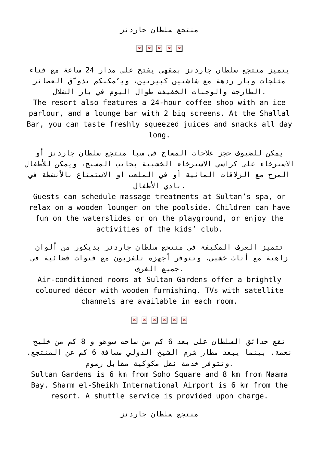#### منتجع سلطان جاردنز

#### $\mathbf{x} \quad \mathbf{x} \quad \mathbf{x} \quad \mathbf{x}$

يتميز منتجع سلطان جاردنز بمقهى يفتح على مدار 24 ساعة مع فناء مثلجات وبار ردهة مع شاشتين كبيرتين، ويُمكنكم تذوّق العصائر .الطازجة والوجبات الخفيفة طوال اليوم في بار الشلال

The resort also features a 24-hour coffee shop with an ice parlour, and a lounge bar with 2 big screens. At the Shallal Bar, you can taste freshly squeezed juices and snacks all day long.

يمكن للضيوف حجز علاجات المساج في سبا منتجع سلطان جاردنز أو الاسترخاء على كراسي الاسترخاء الخشبية بجانب المسبح، ويمكن للأطفال المرح مع الزلاقات المائية أو في الملعب أو الاستمتاع بالأنشطة في .نادي الأطفال

Guests can schedule massage treatments at Sultan's spa, or relax on a wooden lounger on the poolside. Children can have fun on the waterslides or on the playground, or enjoy the activities of the kids' club.

تتميز الغرف المكيفة في منتجع سلطان جاردنز بديكور من ألوان زاهية مع أثاث خشبي. وتتوفر أجهزة تلفزيون مع قنوات فضائية في .جميع الغرف

Air-conditioned rooms at Sultan Gardens offer a brightly coloured décor with wooden furnishing. TVs with satellite channels are available in each room.

### $\mathbf{x} \quad \mathbf{x} \quad \mathbf{x} \quad \mathbf{x} \quad \mathbf{x} \quad \mathbf{x}$

تقع حدائق السلطان على بعد 6 كم من ساحة سوهو و 8 كم من خليج نعمة. بينما يبعد مطار شرم الشيخ الدولي مسافة 6 كم عن المنتجع. .وتتوفر خدمة نقل مكوكية مقابل رسوم

Sultan Gardens is 6 km from Soho Square and 8 km from Naama Bay. Sharm el-Sheikh International Airport is 6 km from the resort. A shuttle service is provided upon charge.

منتجع سلطان جاردنز